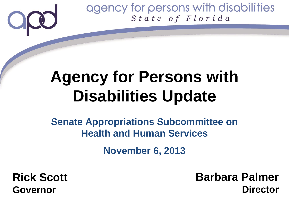## **Agency for Persons with Disabilities Update**

### **Senate Appropriations Subcommittee on Health and Human Services**

**November 6, 2013**

**Rick Scott Governor**

**Barbara Palmer Director**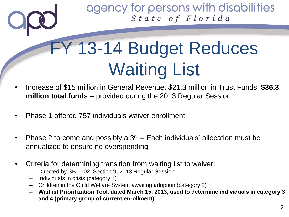# FY 13-14 Budget Reduces Waiting List

- Increase of \$15 million in General Revenue, \$21.3 million in Trust Funds, **\$36.3 million total funds** – provided during the 2013 Regular Session
- Phase 1 offered 757 individuals waiver enrollment
- Phase 2 to come and possibly a  $3<sup>rd</sup>$  Each individuals' allocation must be annualized to ensure no overspending
- Criteria for determining transition from waiting list to waiver:
	- Directed by SB 1502, Section 9, 2013 Regular Session
	- Individuals in crisis (category 1)
	- Children in the Child Welfare System awaiting adoption (category 2)
	- **Waitlist Prioritization Tool, dated March 15, 2013, used to determine individuals in category 3 and 4 (primary group of current enrollment)**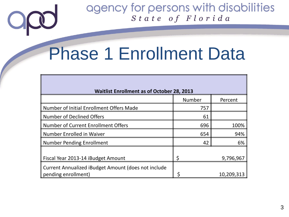### Phase 1 Enrollment Data

 $\bigcirc$ 

| <b>Waitlist Enrollment as of October 28, 2013</b>   |        |            |
|-----------------------------------------------------|--------|------------|
|                                                     | Number | Percent    |
| Number of Initial Enrollment Offers Made            | 757    |            |
| <b>Number of Declined Offers</b>                    | 61     |            |
| Number of Current Enrollment Offers                 | 696    | 100%       |
| Number Enrolled in Waiver                           | 654    | 94%        |
| <b>Number Pending Enrollment</b>                    | 42     | 6%         |
| Fiscal Year 2013-14 iBudget Amount                  |        | 9,796,967  |
| Current Annualized iBudget Amount (does not include |        |            |
| pending enrollment)                                 |        | 10,209,313 |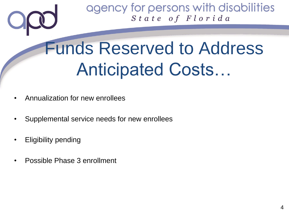## Funds Reserved to Address Anticipated Costs…

- Annualization for new enrollees
- Supplemental service needs for new enrollees
- Eligibility pending
- Possible Phase 3 enrollment